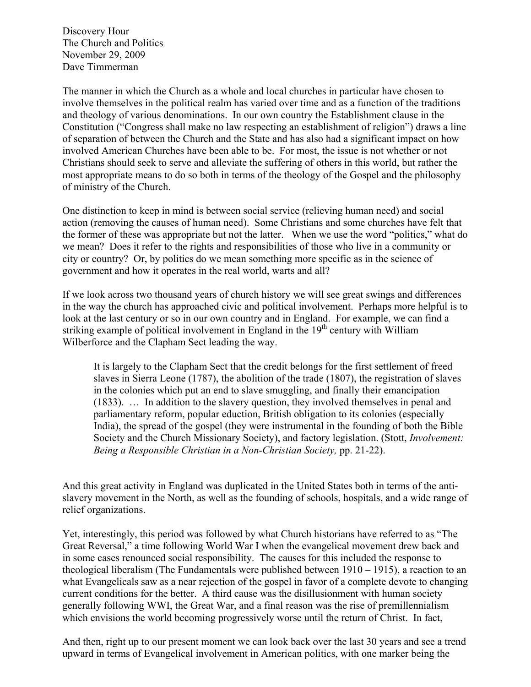Discovery Hour The Church and Politics November 29, 2009 Dave Timmerman

The manner in which the Church as a whole and local churches in particular have chosen to involve themselves in the political realm has varied over time and as a function of the traditions and theology of various denominations. In our own country the Establishment clause in the Constitution ("Congress shall make no law respecting an establishment of religion") draws a line of separation of between the Church and the State and has also had a significant impact on how involved American Churches have been able to be. For most, the issue is not whether or not Christians should seek to serve and alleviate the suffering of others in this world, but rather the most appropriate means to do so both in terms of the theology of the Gospel and the philosophy of ministry of the Church.

One distinction to keep in mind is between social service (relieving human need) and social action (removing the causes of human need). Some Christians and some churches have felt that the former of these was appropriate but not the latter. When we use the word "politics," what do we mean? Does it refer to the rights and responsibilities of those who live in a community or city or country? Or, by politics do we mean something more specific as in the science of government and how it operates in the real world, warts and all?

If we look across two thousand years of church history we will see great swings and differences in the way the church has approached civic and political involvement. Perhaps more helpful is to look at the last century or so in our own country and in England. For example, we can find a striking example of political involvement in England in the  $19<sup>th</sup>$  century with William Wilberforce and the Clapham Sect leading the way.

It is largely to the Clapham Sect that the credit belongs for the first settlement of freed slaves in Sierra Leone (1787), the abolition of the trade (1807), the registration of slaves in the colonies which put an end to slave smuggling, and finally their emancipation (1833). … In addition to the slavery question, they involved themselves in penal and parliamentary reform, popular eduction, British obligation to its colonies (especially India), the spread of the gospel (they were instrumental in the founding of both the Bible Society and the Church Missionary Society), and factory legislation. (Stott, *Involvement: Being a Responsible Christian in a Non-Christian Society,* pp. 21-22).

And this great activity in England was duplicated in the United States both in terms of the antislavery movement in the North, as well as the founding of schools, hospitals, and a wide range of relief organizations.

Yet, interestingly, this period was followed by what Church historians have referred to as "The Great Reversal," a time following World War I when the evangelical movement drew back and in some cases renounced social responsibility. The causes for this included the response to theological liberalism (The Fundamentals were published between 1910 – 1915), a reaction to an what Evangelicals saw as a near rejection of the gospel in favor of a complete devote to changing current conditions for the better. A third cause was the disillusionment with human society generally following WWI, the Great War, and a final reason was the rise of premillennialism which envisions the world becoming progressively worse until the return of Christ. In fact,

And then, right up to our present moment we can look back over the last 30 years and see a trend upward in terms of Evangelical involvement in American politics, with one marker being the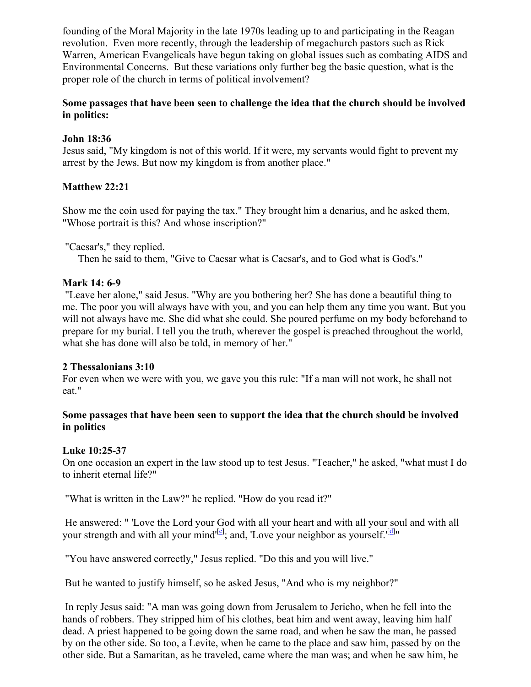founding of the Moral Majority in the late 1970s leading up to and participating in the Reagan revolution. Even more recently, through the leadership of megachurch pastors such as Rick Warren, American Evangelicals have begun taking on global issues such as combating AIDS and Environmental Concerns. But these variations only further beg the basic question, what is the proper role of the church in terms of political involvement?

# **Some passages that have been seen to challenge the idea that the church should be involved in politics:**

# **John 18:36**

Jesus said, "My kingdom is not of this world. If it were, my servants would fight to prevent my arrest by the Jews. But now my kingdom is from another place."

# **Matthew 22:21**

Show me the coin used for paying the tax." They brought him a denarius, and he asked them, "Whose portrait is this? And whose inscription?"

"Caesar's," they replied.

Then he said to them, "Give to Caesar what is Caesar's, and to God what is God's."

# **Mark 14: 6-9**

 "Leave her alone," said Jesus. "Why are you bothering her? She has done a beautiful thing to me. The poor you will always have with you, and you can help them any time you want. But you will not always have me. She did what she could. She poured perfume on my body beforehand to prepare for my burial. I tell you the truth, wherever the gospel is preached throughout the world, what she has done will also be told, in memory of her."

### **2 Thessalonians 3:10**

For even when we were with you, we gave you this rule: "If a man will not work, he shall not eat."

# **Some passages that have been seen to support the idea that the church should be involved in politics**

### **Luke 10:25-37**

On one occasion an expert in the law stood up to test Jesus. "Teacher," he asked, "what must I do to inherit eternal life?"

"What is written in the Law?" he replied. "How do you read it?"

 He answered: " 'Love the Lord your God with all your heart and with all your soul and with all your strength and with all your mind<sup> $[\circ]$  $[\circ]$  $[\circ]$ </sup>; and, 'Love your neighbor as yourself.'<sup>[\[d](http://www.biblegateway.com/passage/?search=luke%2010&version=NIV#fen-NIV-25383d#fen-NIV-25383d)]</sup>"

"You have answered correctly," Jesus replied. "Do this and you will live."

But he wanted to justify himself, so he asked Jesus, "And who is my neighbor?"

 In reply Jesus said: "A man was going down from Jerusalem to Jericho, when he fell into the hands of robbers. They stripped him of his clothes, beat him and went away, leaving him half dead. A priest happened to be going down the same road, and when he saw the man, he passed by on the other side. So too, a Levite, when he came to the place and saw him, passed by on the other side. But a Samaritan, as he traveled, came where the man was; and when he saw him, he